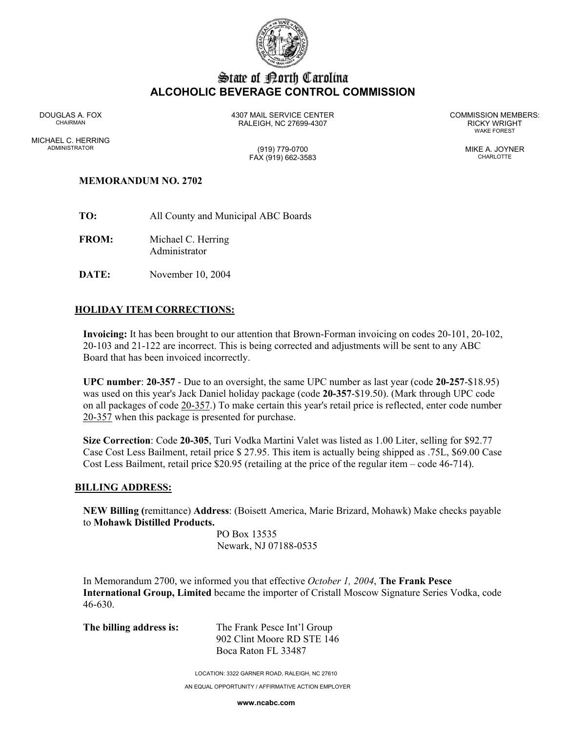

# State of Borth Carolina **ALCOHOLIC BEVERAGE CONTROL COMMISSION**

WAKE FOREST

DOUGLAS A. FOX 4307 MAIL SERVICE CENTER COMMISSION MEMBERS: CHAIRMAN RALEIGH, NC 27699-4307 RICKY WRIGHT

MICHAEL C. HERRING ADMINISTRATOR (919) 779-0700 MIKE A. JOYNER

FAX (919) 662-3583 CHARLOTTE

#### **MEMORANDUM NO. 2702**

- **TO:** All County and Municipal ABC Boards
- **FROM:** Michael C. Herring Administrator
- **DATE:** November 10, 2004

### **HOLIDAY ITEM CORRECTIONS:**

**Invoicing:** It has been brought to our attention that Brown-Forman invoicing on codes 20-101, 20-102, 20-103 and 21-122 are incorrect. This is being corrected and adjustments will be sent to any ABC Board that has been invoiced incorrectly.

**UPC number**: **20-357** - Due to an oversight, the same UPC number as last year (code **20-257**-\$18.95) was used on this year's Jack Daniel holiday package (code **20-357**-\$19.50). (Mark through UPC code on all packages of code 20-357.) To make certain this year's retail price is reflected, enter code number 20-357 when this package is presented for purchase.

**Size Correction**: Code **20-305**, Turi Vodka Martini Valet was listed as 1.00 Liter, selling for \$92.77 Case Cost Less Bailment, retail price \$ 27.95. This item is actually being shipped as .75L, \$69.00 Case Cost Less Bailment, retail price \$20.95 (retailing at the price of the regular item – code 46-714).

#### **BILLING ADDRESS:**

**NEW Billing (**remittance) **Address**: (Boisett America, Marie Brizard, Mohawk) Make checks payable to **Mohawk Distilled Products.**

> PO Box 13535 Newark, NJ 07188-0535

In Memorandum 2700, we informed you that effective *October 1, 2004*, **The Frank Pesce International Group, Limited** became the importer of Cristall Moscow Signature Series Vodka, code 46-630.

**The billing address is:** The Frank Pesce Int'l Group 902 Clint Moore RD STE 146 Boca Raton FL 33487

LOCATION: 3322 GARNER ROAD, RALEIGH, NC 27610

AN EQUAL OPPORTUNITY / AFFIRMATIVE ACTION EMPLOYER